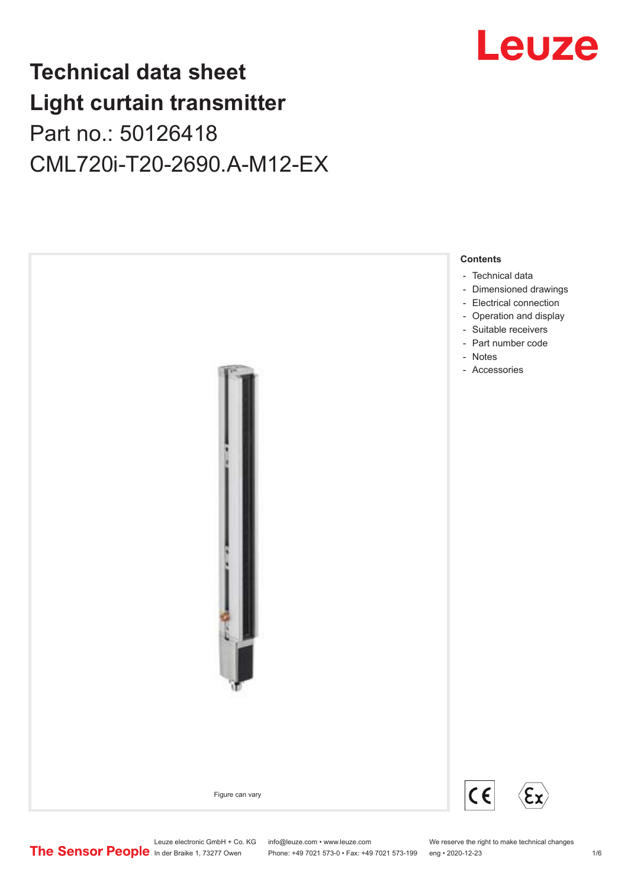## Leuze

## **Technical data sheet Light curtain transmitter** Part no.: 50126418 CML720i-T20-2690.A-M12-EX



Leuze electronic GmbH + Co. KG info@leuze.com • www.leuze.com We reserve the right to make technical changes<br>
The Sensor People in der Braike 1, 73277 Owen Phone: +49 7021 573-0 • Fax: +49 7021 573-199 eng • 2020-12-23

Phone: +49 7021 573-0 • Fax: +49 7021 573-199 eng • 2020-12-23 1 76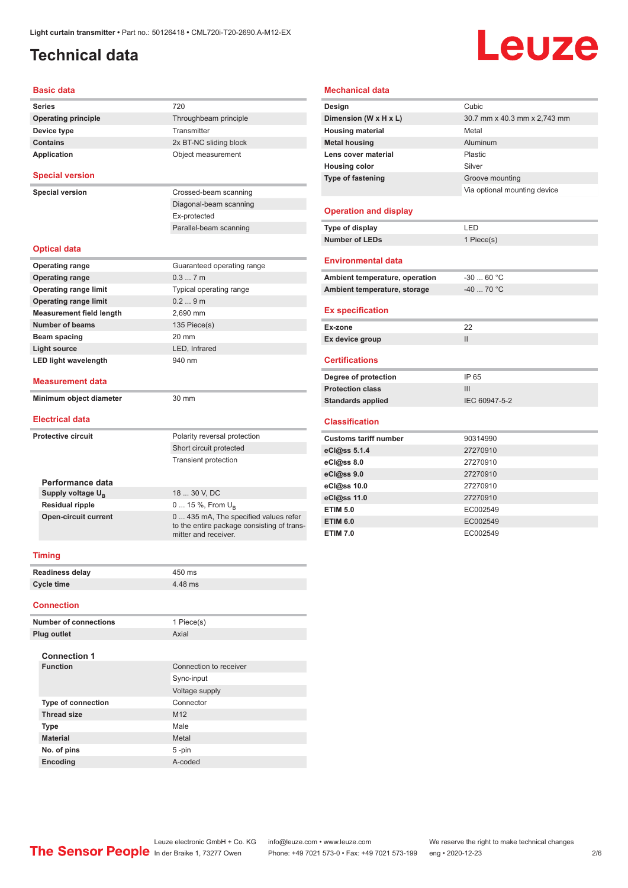## <span id="page-1-0"></span>**Technical data**

# Leuze

#### **Basic data**

| <b>Basic data</b>               |                                                                    | <b>Mechanical data</b>         |                              |  |
|---------------------------------|--------------------------------------------------------------------|--------------------------------|------------------------------|--|
| <b>Series</b>                   | 720                                                                | Design                         | Cubic                        |  |
| <b>Operating principle</b>      | Throughbeam principle                                              | Dimension (W x H x L)          | 30.7 mm x 40.3 mm x 2,743 mm |  |
| Device type                     | Transmitter                                                        | <b>Housing material</b>        | Metal                        |  |
| <b>Contains</b>                 | 2x BT-NC sliding block                                             | <b>Metal housing</b>           | Aluminum                     |  |
| <b>Application</b>              | Object measurement                                                 | Lens cover material            | Plastic                      |  |
|                                 |                                                                    | <b>Housing color</b>           | Silver                       |  |
| <b>Special version</b>          |                                                                    | Type of fastening              | Groove mounting              |  |
| <b>Special version</b>          | Crossed-beam scanning                                              |                                | Via optional mounting device |  |
|                                 | Diagonal-beam scanning                                             |                                |                              |  |
|                                 | Ex-protected                                                       | <b>Operation and display</b>   |                              |  |
|                                 | Parallel-beam scanning                                             | Type of display                | LED                          |  |
|                                 |                                                                    | <b>Number of LEDs</b>          | 1 Piece(s)                   |  |
| <b>Optical data</b>             |                                                                    |                                |                              |  |
| <b>Operating range</b>          | Guaranteed operating range                                         | <b>Environmental data</b>      |                              |  |
| <b>Operating range</b>          | 0.37m                                                              | Ambient temperature, operation | $-3060 °C$                   |  |
| <b>Operating range limit</b>    | Typical operating range                                            | Ambient temperature, storage   | $-4070 °C$                   |  |
| <b>Operating range limit</b>    | 0.29m                                                              |                                |                              |  |
| <b>Measurement field length</b> | 2,690 mm                                                           | <b>Ex specification</b>        |                              |  |
| <b>Number of beams</b>          | 135 Piece(s)                                                       | Ex-zone                        | 22                           |  |
| <b>Beam spacing</b>             | 20 mm                                                              | Ex device group                | $\ensuremath{\mathsf{II}}$   |  |
| <b>Light source</b>             | LED, Infrared                                                      |                                |                              |  |
| <b>LED light wavelength</b>     | 940 nm                                                             | <b>Certifications</b>          |                              |  |
|                                 |                                                                    | Degree of protection           | IP 65                        |  |
| <b>Measurement data</b>         |                                                                    | <b>Protection class</b>        | III                          |  |
| Minimum object diameter         | 30 mm                                                              | <b>Standards applied</b>       | IEC 60947-5-2                |  |
| <b>Electrical data</b>          |                                                                    | <b>Classification</b>          |                              |  |
| <b>Protective circuit</b>       | Polarity reversal protection                                       | <b>Customs tariff number</b>   | 90314990                     |  |
|                                 | Short circuit protected                                            | eCl@ss 5.1.4                   | 27270910                     |  |
|                                 | Transient protection                                               | eCl@ss 8.0                     | 27270910                     |  |
|                                 |                                                                    | eCl@ss 9.0                     | 27270910                     |  |
| Performance data                |                                                                    | eCl@ss 10.0                    | 27270910                     |  |
| Supply voltage $U_{\rm B}$      | 18  30 V, DC                                                       | eCl@ss 11.0                    | 27270910                     |  |
| <b>Residual ripple</b>          | 0  15 %, From $U_{\rm B}$                                          | <b>ETIM 5.0</b>                | EC002549                     |  |
| <b>Open-circuit current</b>     | 0  435 mA, The specified values refer                              | <b>ETIM 6.0</b>                | EC002549                     |  |
|                                 | to the entire package consisting of trans-<br>mitter and receiver. | <b>ETIM 7.0</b>                | EC002549                     |  |
|                                 |                                                                    |                                |                              |  |
| <b>Timing</b>                   |                                                                    |                                |                              |  |
| Readiness delay                 | 450 ms                                                             |                                |                              |  |
| <b>Cycle time</b>               | 4.48 ms                                                            |                                |                              |  |
| <b>Connection</b>               |                                                                    |                                |                              |  |

| Type of display                | LED           |
|--------------------------------|---------------|
| <b>Number of LEDs</b>          | 1 Piece(s)    |
|                                |               |
| <b>Environmental data</b>      |               |
| Ambient temperature, operation | $-30$ 60 °C   |
| Ambient temperature, storage   | $-40$ 70 °C   |
| <b>Ex specification</b>        |               |
| Ex-zone                        | 22            |
| Ex device group                | $\mathsf{II}$ |
| <b>Certifications</b>          |               |
| Degree of protection           | IP 65         |
| <b>Protection class</b>        | III           |
| <b>Standards applied</b>       | IEC 60947-5-2 |
| <b>Classification</b>          |               |
| <b>Customs tariff number</b>   | 90314990      |
| eCl@ss 5.1.4                   | 27270910      |
| eCl@ss 8.0                     | 27270910      |
| eCl@ss 9.0                     | 27270910      |
| eCl@ss 10.0                    | 27270910      |
|                                |               |

| eCl@ss 10.0     | 27270910 |
|-----------------|----------|
| eCl@ss $11.0$   | 27270910 |
| <b>ETIM 5.0</b> | EC002549 |
| <b>ETIM 6.0</b> | EC002549 |
| <b>ETIM 7.0</b> | EC002549 |

#### **Connection**

| <b>Number of connections</b> | 1 Piece(s)             |
|------------------------------|------------------------|
| Plug outlet                  | Axial                  |
| <b>Connection 1</b>          |                        |
| <b>Function</b>              | Connection to receiver |
|                              | Sync-input             |
|                              | Voltage supply         |
| <b>Type of connection</b>    | Connector              |
| <b>Thread size</b>           | M <sub>12</sub>        |
| <b>Type</b>                  | Male                   |
| <b>Material</b>              | Metal                  |
| No. of pins                  | 5-pin                  |
| <b>Encoding</b>              | A-coded                |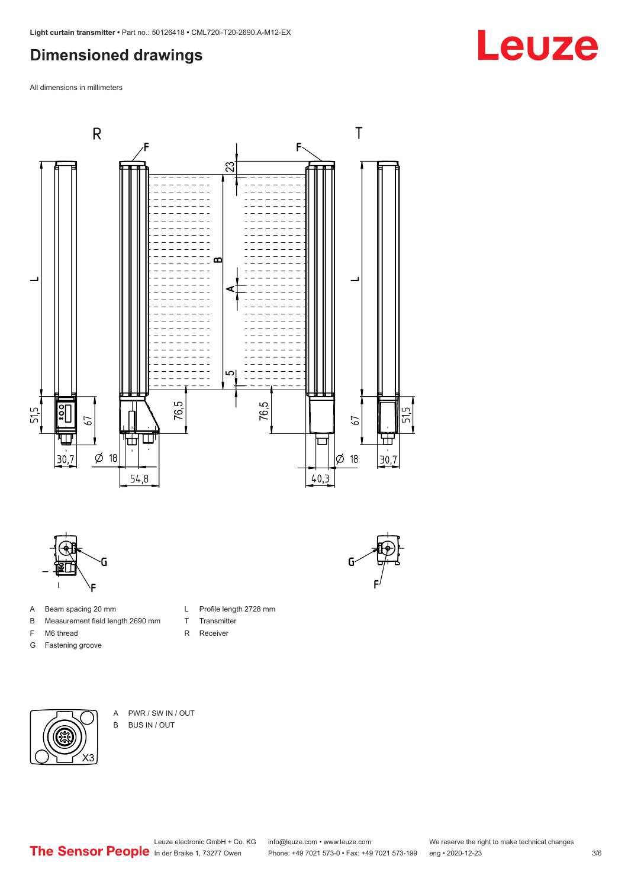### <span id="page-2-0"></span>**Dimensioned drawings**

All dimensions in millimeters



L Profile length 2728 mm

T Transmitter R Receiver



- A Beam spacing 20 mm
- B Measurement field length 2690 mm
- F M6 thread
- G Fastening groove

- X3
- A PWR / SW IN / OUT B BUS IN / OUT

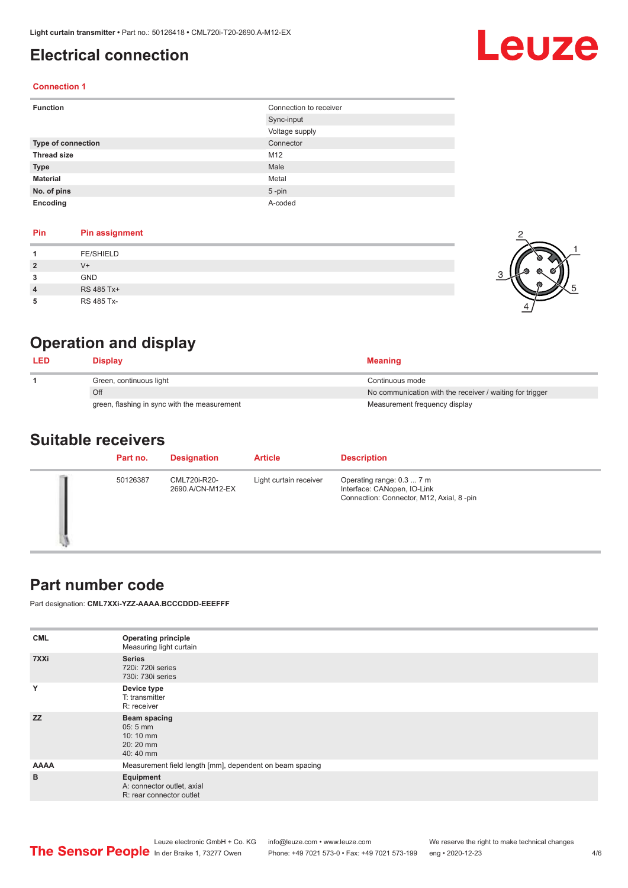### <span id="page-3-0"></span>**Electrical connection**

## Leuze

2

 $\frac{1}{\sqrt{2}}$ 

1

5

#### **Connection 1**

| <b>Function</b>    | Connection to receiver |  |
|--------------------|------------------------|--|
|                    | Sync-input             |  |
|                    | Voltage supply         |  |
| Type of connection | Connector              |  |
| <b>Thread size</b> | M12                    |  |
| <b>Type</b>        | Male                   |  |
| <b>Material</b>    | Metal                  |  |
| No. of pins        | $5$ -pin               |  |
| Encoding           | A-coded                |  |

#### **Pin Pin assignment**

| <b>FE/SHIELD</b><br>$V +$<br>$\overline{2}$ |  |  |
|---------------------------------------------|--|--|
|                                             |  |  |
|                                             |  |  |
| <b>GND</b><br>3                             |  |  |
| RS 485 Tx+<br>$\overline{4}$                |  |  |
| RS 485 Tx-<br>5                             |  |  |

### **Operation and display**

| <b>LED</b> | Display                                      | <b>Meaning</b>                                           |
|------------|----------------------------------------------|----------------------------------------------------------|
|            | Green, continuous light                      | Continuous mode                                          |
|            | Off                                          | No communication with the receiver / waiting for trigger |
|            | green, flashing in sync with the measurement | Measurement frequency display                            |

#### **Suitable receivers**

| Part no. | <b>Designation</b>               | <b>Article</b>         | <b>Description</b>                                                                                   |
|----------|----------------------------------|------------------------|------------------------------------------------------------------------------------------------------|
| 50126387 | CML720i-R20-<br>2690.A/CN-M12-EX | Light curtain receiver | Operating range: 0.3  7 m<br>Interface: CANopen, IO-Link<br>Connection: Connector, M12, Axial, 8-pin |

#### **Part number code**

Part designation: **CML7XXi-YZZ-AAAA.BCCCDDD-EEEFFF**

| <b>Operating principle</b><br>Measuring light curtain               |  |  |
|---------------------------------------------------------------------|--|--|
| <b>Series</b><br>720i: 720i series<br>730i: 730i series             |  |  |
| Device type<br>T: transmitter<br>R: receiver                        |  |  |
| Beam spacing<br>$05:5$ mm<br>10:10 mm<br>20:20 mm<br>40:40 mm       |  |  |
| Measurement field length [mm], dependent on beam spacing            |  |  |
| Equipment<br>A: connector outlet, axial<br>R: rear connector outlet |  |  |
|                                                                     |  |  |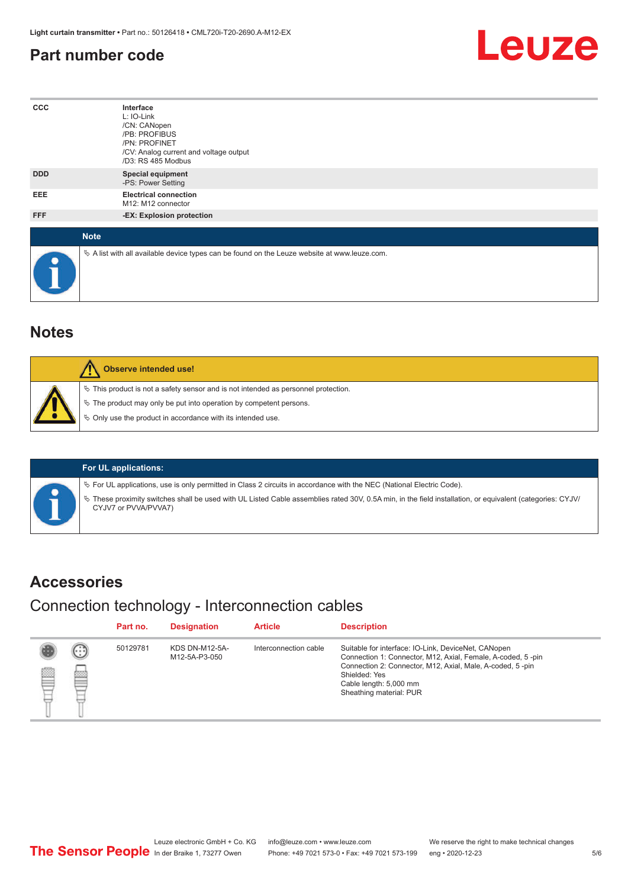#### <span id="page-4-0"></span>**Part number code**



| $_{\rm ccc}$ | Interface<br>L: IO-Link<br>/CN: CANopen<br>/PB: PROFIBUS<br>/PN: PROFINET<br>/CV: Analog current and voltage output<br>/D3: RS 485 Modbus |
|--------------|-------------------------------------------------------------------------------------------------------------------------------------------|
| <b>DDD</b>   | <b>Special equipment</b><br>-PS: Power Setting                                                                                            |
| EEE          | <b>Electrical connection</b><br>M12: M12 connector                                                                                        |
| FFF          | -EX: Explosion protection                                                                                                                 |
| <b>Note</b>  |                                                                                                                                           |
| $\bullet$    | $\&$ A list with all available device types can be found on the Leuze website at www.leuze.com.                                           |

#### **Notes**

| Observe intended use!                                                                                                                                                                                                      |
|----------------------------------------------------------------------------------------------------------------------------------------------------------------------------------------------------------------------------|
| $\%$ This product is not a safety sensor and is not intended as personnel protection.<br>§ The product may only be put into operation by competent persons.<br>§ Only use the product in accordance with its intended use. |

#### **For UL applications:**

ª For UL applications, use is only permitted in Class 2 circuits in accordance with the NEC (National Electric Code).

ª These proximity switches shall be used with UL Listed Cable assemblies rated 30V, 0.5A min, in the field installation, or equivalent (categories: CYJV/ CYJV7 or PVVA/PVVA7)

#### **Accessories**

#### Connection technology - Interconnection cables

|        |                           | Part no. | <b>Designation</b>                     | <b>Article</b>        | <b>Description</b>                                                                                                                                                                                                                                    |
|--------|---------------------------|----------|----------------------------------------|-----------------------|-------------------------------------------------------------------------------------------------------------------------------------------------------------------------------------------------------------------------------------------------------|
| ▤<br>⊟ | (. : :)<br>heiro<br>مستعت | 50129781 | <b>KDS DN-M12-5A-</b><br>M12-5A-P3-050 | Interconnection cable | Suitable for interface: IO-Link, DeviceNet, CANopen<br>Connection 1: Connector, M12, Axial, Female, A-coded, 5-pin<br>Connection 2: Connector, M12, Axial, Male, A-coded, 5-pin<br>Shielded: Yes<br>Cable length: 5,000 mm<br>Sheathing material: PUR |